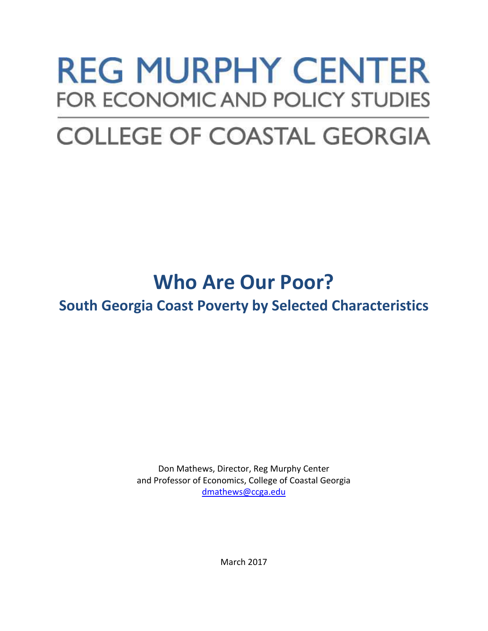# **REG MURPHY CENTER FOR ECONOMIC AND POLICY STUDIES**

## **COLLEGE OF COASTAL GEORGIA**

### **Who Are Our Poor?**

**South Georgia Coast Poverty by Selected Characteristics**

Don Mathews, Director, Reg Murphy Center and Professor of Economics, College of Coastal Georgia [dmathews@ccga.edu](mailto:dmathews@ccga.edu)

March 2017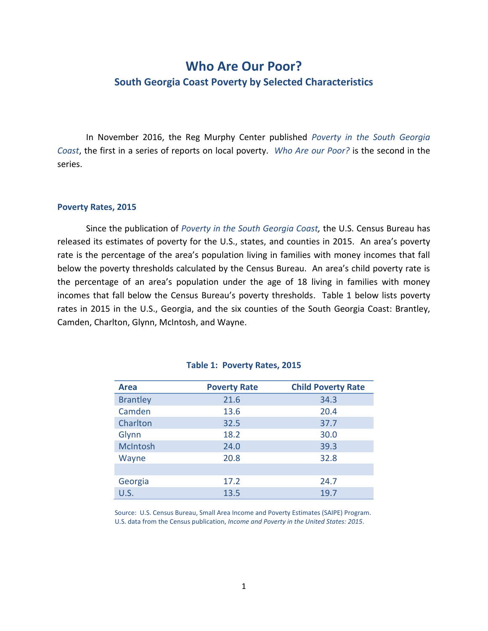### **Who Are Our Poor? South Georgia Coast Poverty by Selected Characteristics**

In November 2016, the Reg Murphy Center published *Poverty in the South Georgia Coast*, the first in a series of reports on local poverty. *Who Are our Poor?* is the second in the series.

#### **Poverty Rates, 2015**

Since the publication of *Poverty in the South Georgia Coast,* the U.S. Census Bureau has released its estimates of poverty for the U.S., states, and counties in 2015. An area's poverty rate is the percentage of the area's population living in families with money incomes that fall below the poverty thresholds calculated by the Census Bureau. An area's child poverty rate is the percentage of an area's population under the age of 18 living in families with money incomes that fall below the Census Bureau's poverty thresholds. Table 1 below lists poverty rates in 2015 in the U.S., Georgia, and the six counties of the South Georgia Coast: Brantley, Camden, Charlton, Glynn, McIntosh, and Wayne.

| <b>Area</b>     | <b>Poverty Rate</b> | <b>Child Poverty Rate</b> |
|-----------------|---------------------|---------------------------|
| <b>Brantley</b> | 21.6                | 34.3                      |
| Camden          | 13.6                | 20.4                      |
| Charlton        | 32.5                | 37.7                      |
| Glynn           | 18.2                | 30.0                      |
| McIntosh        | 24.0                | 39.3                      |
| Wayne           | 20.8                | 32.8                      |
|                 |                     |                           |
| Georgia         | 17.2                | 24.7                      |
| U.S.            | 13.5                | 19.7                      |

#### **Table 1: Poverty Rates, 2015**

Source: U.S. Census Bureau, Small Area Income and Poverty Estimates (SAIPE) Program. U.S. data from the Census publication, *Income and Poverty in the United States: 2015*.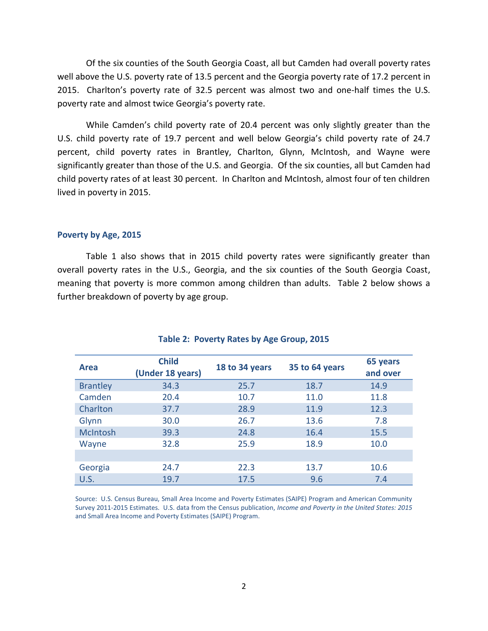Of the six counties of the South Georgia Coast, all but Camden had overall poverty rates well above the U.S. poverty rate of 13.5 percent and the Georgia poverty rate of 17.2 percent in 2015. Charlton's poverty rate of 32.5 percent was almost two and one-half times the U.S. poverty rate and almost twice Georgia's poverty rate.

While Camden's child poverty rate of 20.4 percent was only slightly greater than the U.S. child poverty rate of 19.7 percent and well below Georgia's child poverty rate of 24.7 percent, child poverty rates in Brantley, Charlton, Glynn, McIntosh, and Wayne were significantly greater than those of the U.S. and Georgia. Of the six counties, all but Camden had child poverty rates of at least 30 percent. In Charlton and McIntosh, almost four of ten children lived in poverty in 2015.

#### **Poverty by Age, 2015**

Table 1 also shows that in 2015 child poverty rates were significantly greater than overall poverty rates in the U.S., Georgia, and the six counties of the South Georgia Coast, meaning that poverty is more common among children than adults. Table 2 below shows a further breakdown of poverty by age group.

| Area            | <b>Child</b><br>(Under 18 years) | 18 to 34 years | 35 to 64 years | 65 years<br>and over |
|-----------------|----------------------------------|----------------|----------------|----------------------|
| <b>Brantley</b> | 34.3                             | 25.7           | 18.7           | 14.9                 |
| Camden          | 20.4                             | 10.7           | 11.0           | 11.8                 |
| Charlton        | 37.7                             | 28.9           | 11.9           | 12.3                 |
| Glynn           | 30.0                             | 26.7           | 13.6           | 7.8                  |
| <b>McIntosh</b> | 39.3                             | 24.8           | 16.4           | 15.5                 |
| Wayne           | 32.8                             | 25.9           | 18.9           | 10.0                 |
|                 |                                  |                |                |                      |
| Georgia         | 24.7                             | 22.3           | 13.7           | 10.6                 |
| U.S.            | 19.7                             | 17.5           | 9.6            | 7.4                  |

#### **Table 2: Poverty Rates by Age Group, 2015**

Source: U.S. Census Bureau, Small Area Income and Poverty Estimates (SAIPE) Program and American Community Survey 2011-2015 Estimates. U.S. data from the Census publication, *Income and Poverty in the United States: 2015* and Small Area Income and Poverty Estimates (SAIPE) Program.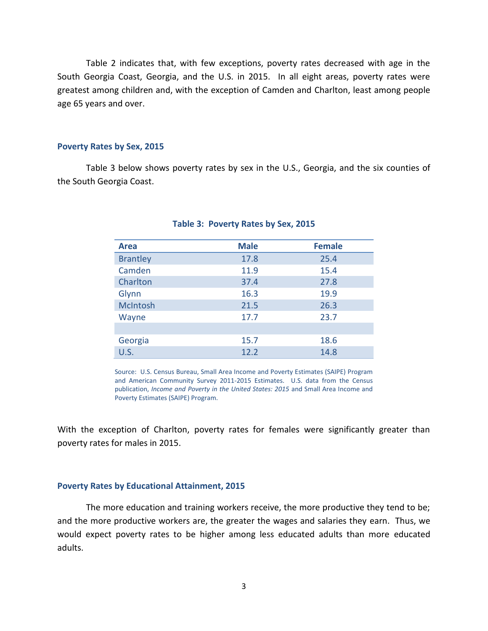Table 2 indicates that, with few exceptions, poverty rates decreased with age in the South Georgia Coast, Georgia, and the U.S. in 2015. In all eight areas, poverty rates were greatest among children and, with the exception of Camden and Charlton, least among people age 65 years and over.

#### **Poverty Rates by Sex, 2015**

Table 3 below shows poverty rates by sex in the U.S., Georgia, and the six counties of the South Georgia Coast.

| <b>Area</b>     | <b>Male</b> | <b>Female</b> |
|-----------------|-------------|---------------|
| <b>Brantley</b> | 17.8        | 25.4          |
| Camden          | 11.9        | 15.4          |
| Charlton        | 37.4        | 27.8          |
| Glynn           | 16.3        | 19.9          |
| McIntosh        | 21.5        | 26.3          |
| Wayne           | 17.7        | 23.7          |
|                 |             |               |
| Georgia         | 15.7        | 18.6          |
| U.S.            | 12.2        | 14.8          |

#### **Table 3: Poverty Rates by Sex, 2015**

Source: U.S. Census Bureau, Small Area Income and Poverty Estimates (SAIPE) Program and American Community Survey 2011-2015 Estimates. U.S. data from the Census publication, *Income and Poverty in the United States: 2015* and Small Area Income and Poverty Estimates (SAIPE) Program.

With the exception of Charlton, poverty rates for females were significantly greater than poverty rates for males in 2015.

#### **Poverty Rates by Educational Attainment, 2015**

The more education and training workers receive, the more productive they tend to be; and the more productive workers are, the greater the wages and salaries they earn. Thus, we would expect poverty rates to be higher among less educated adults than more educated adults.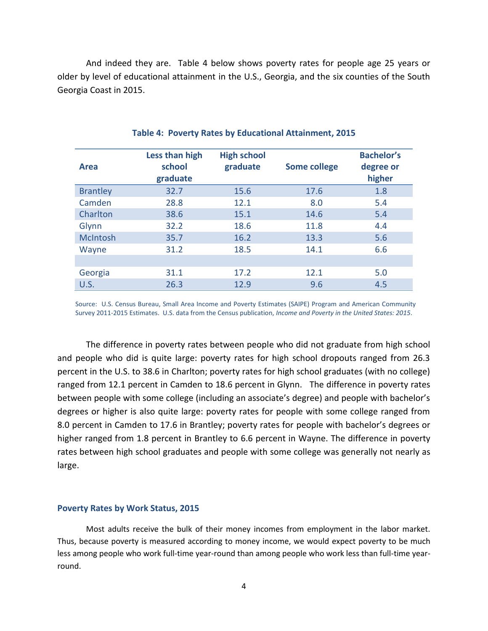And indeed they are. Table 4 below shows poverty rates for people age 25 years or older by level of educational attainment in the U.S., Georgia, and the six counties of the South Georgia Coast in 2015.

| Area            | Less than high<br>school<br>graduate | <b>High school</b><br>graduate | <b>Some college</b> | <b>Bachelor's</b><br>degree or<br>higher |
|-----------------|--------------------------------------|--------------------------------|---------------------|------------------------------------------|
| <b>Brantley</b> | 32.7                                 | 15.6                           | 17.6                | 1.8                                      |
| Camden          | 28.8                                 | 12.1                           | 8.0                 | 5.4                                      |
| Charlton        | 38.6                                 | 15.1                           | 14.6                | 5.4                                      |
| Glynn           | 32.2                                 | 18.6                           | 11.8                | 4.4                                      |
| <b>McIntosh</b> | 35.7                                 | 16.2                           | 13.3                | 5.6                                      |
| Wayne           | 31.2                                 | 18.5                           | 14.1                | 6.6                                      |
|                 |                                      |                                |                     |                                          |
| Georgia         | 31.1                                 | 17.2                           | 12.1                | 5.0                                      |
| U.S.            | 26.3                                 | 12.9                           | 9.6                 | 4.5                                      |

#### **Table 4: Poverty Rates by Educational Attainment, 2015**

Source: U.S. Census Bureau, Small Area Income and Poverty Estimates (SAIPE) Program and American Community Survey 2011-2015 Estimates. U.S. data from the Census publication, *Income and Poverty in the United States: 2015*.

The difference in poverty rates between people who did not graduate from high school and people who did is quite large: poverty rates for high school dropouts ranged from 26.3 percent in the U.S. to 38.6 in Charlton; poverty rates for high school graduates (with no college) ranged from 12.1 percent in Camden to 18.6 percent in Glynn. The difference in poverty rates between people with some college (including an associate's degree) and people with bachelor's degrees or higher is also quite large: poverty rates for people with some college ranged from 8.0 percent in Camden to 17.6 in Brantley; poverty rates for people with bachelor's degrees or higher ranged from 1.8 percent in Brantley to 6.6 percent in Wayne. The difference in poverty rates between high school graduates and people with some college was generally not nearly as large.

#### **Poverty Rates by Work Status, 2015**

Most adults receive the bulk of their money incomes from employment in the labor market. Thus, because poverty is measured according to money income, we would expect poverty to be much less among people who work full-time year-round than among people who work less than full-time yearround.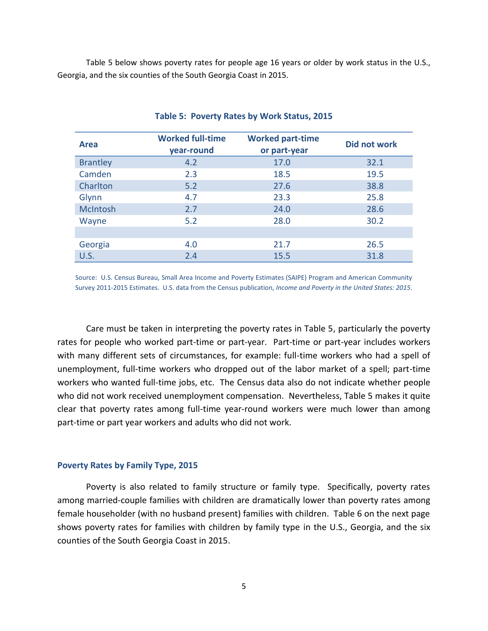Table 5 below shows poverty rates for people age 16 years or older by work status in the U.S., Georgia, and the six counties of the South Georgia Coast in 2015.

| Area            | <b>Worked full-time</b><br>year-round | <b>Worked part-time</b><br>or part-year | Did not work |
|-----------------|---------------------------------------|-----------------------------------------|--------------|
| <b>Brantley</b> | 4.2                                   | 17.0                                    | 32.1         |
| Camden          | 2.3                                   | 18.5                                    | 19.5         |
| Charlton        | 5.2                                   | 27.6                                    | 38.8         |
| Glynn           | 4.7                                   | 23.3                                    | 25.8         |
| McIntosh        | 2.7                                   | 24.0                                    | 28.6         |
| Wayne           | 5.2                                   | 28.0                                    | 30.2         |
|                 |                                       |                                         |              |
| Georgia         | 4.0                                   | 21.7                                    | 26.5         |
| U.S.            | 2.4                                   | 15.5                                    | 31.8         |

#### **Table 5: Poverty Rates by Work Status, 2015**

Source: U.S. Census Bureau, Small Area Income and Poverty Estimates (SAIPE) Program and American Community Survey 2011-2015 Estimates. U.S. data from the Census publication, *Income and Poverty in the United States: 2015*.

Care must be taken in interpreting the poverty rates in Table 5, particularly the poverty rates for people who worked part-time or part-year. Part-time or part-year includes workers with many different sets of circumstances, for example: full-time workers who had a spell of unemployment, full-time workers who dropped out of the labor market of a spell; part-time workers who wanted full-time jobs, etc. The Census data also do not indicate whether people who did not work received unemployment compensation. Nevertheless, Table 5 makes it quite clear that poverty rates among full-time year-round workers were much lower than among part-time or part year workers and adults who did not work.

#### **Poverty Rates by Family Type, 2015**

Poverty is also related to family structure or family type. Specifically, poverty rates among married-couple families with children are dramatically lower than poverty rates among female householder (with no husband present) families with children. Table 6 on the next page shows poverty rates for families with children by family type in the U.S., Georgia, and the six counties of the South Georgia Coast in 2015.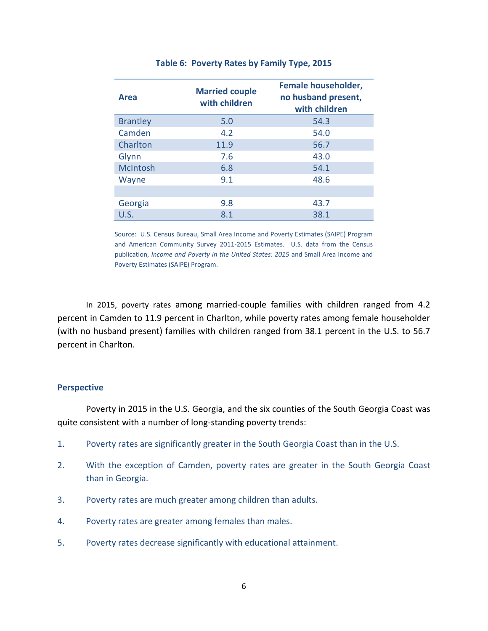| Area            | <b>Married couple</b><br>with children | <b>Female householder,</b><br>no husband present,<br>with children |
|-----------------|----------------------------------------|--------------------------------------------------------------------|
| <b>Brantley</b> | 5.0                                    | 54.3                                                               |
| Camden          | 4.2                                    | 54.0                                                               |
| Charlton        | 11.9                                   | 56.7                                                               |
| Glynn           | 7.6                                    | 43.0                                                               |
| <b>McIntosh</b> | 6.8                                    | 54.1                                                               |
| Wayne           | 9.1                                    | 48.6                                                               |
|                 |                                        |                                                                    |
| Georgia         | 9.8                                    | 43.7                                                               |
| U.S.            | 8.1                                    | 38.1                                                               |

#### **Table 6: Poverty Rates by Family Type, 2015**

Source: U.S. Census Bureau, Small Area Income and Poverty Estimates (SAIPE) Program and American Community Survey 2011-2015 Estimates. U.S. data from the Census publication, *Income and Poverty in the United States: 2015* and Small Area Income and Poverty Estimates (SAIPE) Program.

In 2015, poverty rates among married-couple families with children ranged from 4.2 percent in Camden to 11.9 percent in Charlton, while poverty rates among female householder (with no husband present) families with children ranged from 38.1 percent in the U.S. to 56.7 percent in Charlton.

#### **Perspective**

Poverty in 2015 in the U.S. Georgia, and the six counties of the South Georgia Coast was quite consistent with a number of long-standing poverty trends:

- 1. Poverty rates are significantly greater in the South Georgia Coast than in the U.S.
- 2. With the exception of Camden, poverty rates are greater in the South Georgia Coast than in Georgia.
- 3. Poverty rates are much greater among children than adults.
- 4. Poverty rates are greater among females than males.
- 5. Poverty rates decrease significantly with educational attainment.